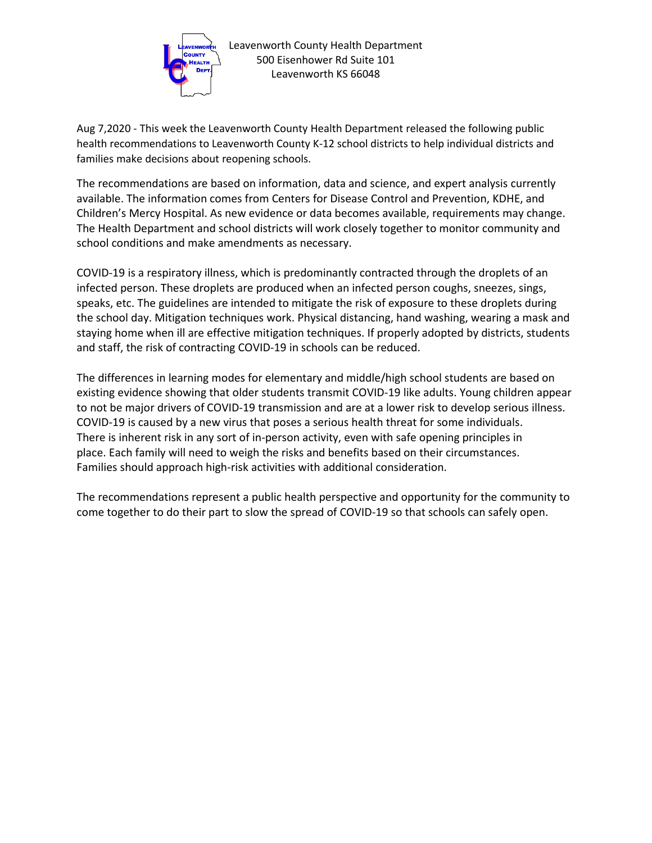

Aug 7,2020 - This week the Leavenworth County Health Department released the following public health recommendations to Leavenworth County K-12 school districts to help individual districts and families make decisions about reopening schools.

The recommendations are based on information, data and science, and expert analysis currently available. The information comes from Centers for Disease Control and Prevention, KDHE, and Children's Mercy Hospital. As new evidence or data becomes available, requirements may change. The Health Department and school districts will work closely together to monitor community and school conditions and make amendments as necessary.

COVID-19 is a respiratory illness, which is predominantly contracted through the droplets of an infected person. These droplets are produced when an infected person coughs, sneezes, sings, speaks, etc. The guidelines are intended to mitigate the risk of exposure to these droplets during the school day. Mitigation techniques work. Physical distancing, hand washing, wearing a mask and staying home when ill are effective mitigation techniques. If properly adopted by districts, students and staff, the risk of contracting COVID-19 in schools can be reduced.

The differences in learning modes for elementary and middle/high school students are based on existing evidence showing that older students transmit COVID-19 like adults. Young children appear to not be major drivers of COVID-19 transmission and are at a lower risk to develop serious illness. COVID-19 is caused by a new virus that poses a serious health threat for some individuals. There is inherent risk in any sort of in-person activity, even with safe opening principles in place. Each family will need to weigh the risks and benefits based on their circumstances. Families should approach high-risk activities with additional consideration.

The recommendations represent a public health perspective and opportunity for the community to come together to do their part to slow the spread of COVID-19 so that schools can safely open.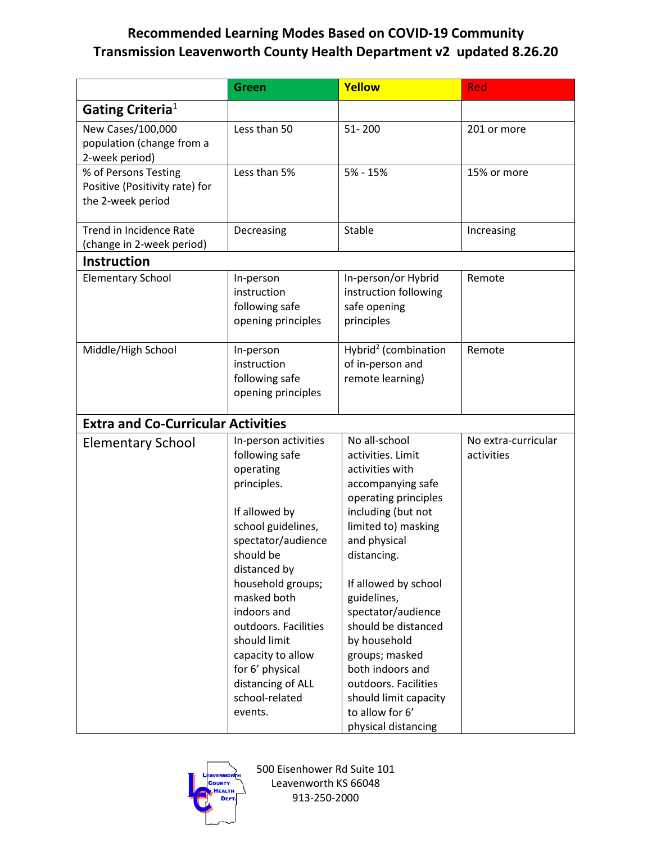## **Recommended Learning Modes Based on COVID-19 Community Transmission Leavenworth County Health Department v2 updated 8.26.20**

|                                                                             | Green                                                                                                                                                                                                                                                                                                                                             | Yellow                                                                                                                                                                                                                                                                                                                                                                                                              | <b>Red</b>                        |
|-----------------------------------------------------------------------------|---------------------------------------------------------------------------------------------------------------------------------------------------------------------------------------------------------------------------------------------------------------------------------------------------------------------------------------------------|---------------------------------------------------------------------------------------------------------------------------------------------------------------------------------------------------------------------------------------------------------------------------------------------------------------------------------------------------------------------------------------------------------------------|-----------------------------------|
| Gating Criteria <sup>1</sup>                                                |                                                                                                                                                                                                                                                                                                                                                   |                                                                                                                                                                                                                                                                                                                                                                                                                     |                                   |
| New Cases/100,000<br>population (change from a<br>2-week period)            | Less than 50                                                                                                                                                                                                                                                                                                                                      | $51 - 200$                                                                                                                                                                                                                                                                                                                                                                                                          | 201 or more                       |
| % of Persons Testing<br>Positive (Positivity rate) for<br>the 2-week period | Less than 5%                                                                                                                                                                                                                                                                                                                                      | $5% - 15%$                                                                                                                                                                                                                                                                                                                                                                                                          | 15% or more                       |
| Trend in Incidence Rate<br>(change in 2-week period)                        | Decreasing                                                                                                                                                                                                                                                                                                                                        | Stable                                                                                                                                                                                                                                                                                                                                                                                                              | Increasing                        |
| <b>Instruction</b>                                                          |                                                                                                                                                                                                                                                                                                                                                   |                                                                                                                                                                                                                                                                                                                                                                                                                     |                                   |
| <b>Elementary School</b>                                                    | In-person<br>instruction<br>following safe<br>opening principles                                                                                                                                                                                                                                                                                  | In-person/or Hybrid<br>instruction following<br>safe opening<br>principles                                                                                                                                                                                                                                                                                                                                          | Remote                            |
| Middle/High School                                                          | In-person<br>instruction<br>following safe<br>opening principles                                                                                                                                                                                                                                                                                  | Hybrid <sup>2</sup> (combination<br>of in-person and<br>remote learning)                                                                                                                                                                                                                                                                                                                                            | Remote                            |
| <b>Extra and Co-Curricular Activities</b>                                   |                                                                                                                                                                                                                                                                                                                                                   |                                                                                                                                                                                                                                                                                                                                                                                                                     |                                   |
| <b>Elementary School</b>                                                    | In-person activities<br>following safe<br>operating<br>principles.<br>If allowed by<br>school guidelines,<br>spectator/audience<br>should be<br>distanced by<br>household groups;<br>masked both<br>indoors and<br>outdoors. Facilities<br>should limit<br>capacity to allow<br>for 6' physical<br>distancing of ALL<br>school-related<br>events. | No all-school<br>activities. Limit<br>activities with<br>accompanying safe<br>operating principles<br>including (but not<br>limited to) masking<br>and physical<br>distancing.<br>If allowed by school<br>guidelines,<br>spectator/audience<br>should be distanced<br>by household<br>groups; masked<br>both indoors and<br>outdoors. Facilities<br>should limit capacity<br>to allow for 6'<br>physical distancing | No extra-curricular<br>activities |



500 Eisenhower Rd Suite 101 Leavenworth KS 66048 913-250-2000